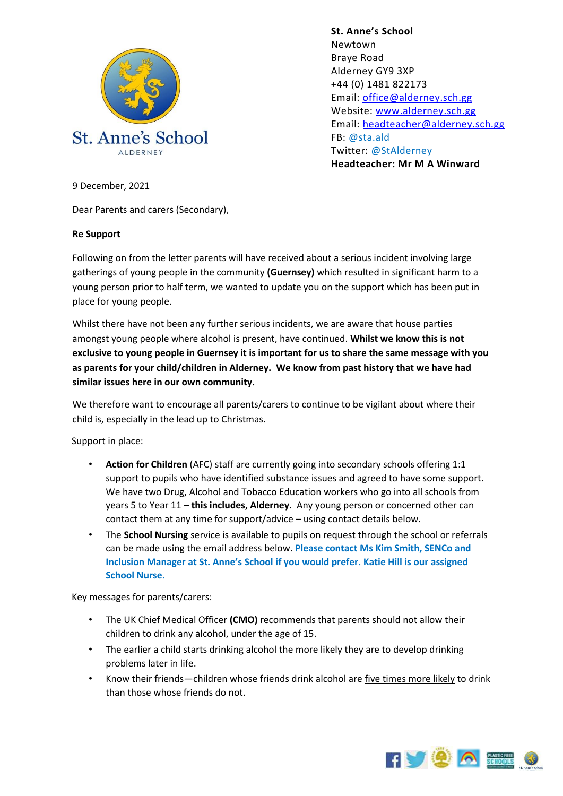

**St. Anne's School**  Newtown Braye Road Alderney GY9 3XP +44 (0) 1481 822173 Email: [office@alderney.sch.gg](mailto:office@alderney.sch.gg) Website: [www.alderney.sch.gg](http://www.alderney.sch.gg/) Email: [headteacher@alderney.sch.gg](mailto:headteacher@alderney.sch.gg) FB: @sta.ald Twitter: @StAlderney **Headteacher: Mr M A Winward**

9 December, 2021

Dear Parents and carers (Secondary),

## **Re Support**

Following on from the letter parents will have received about a serious incident involving large gatherings of young people in the community **(Guernsey)** which resulted in significant harm to a young person prior to half term, we wanted to update you on the support which has been put in place for young people.

Whilst there have not been any further serious incidents, we are aware that house parties amongst young people where alcohol is present, have continued. **Whilst we know this is not exclusive to young people in Guernsey it is important for us to share the same message with you as parents for your child/children in Alderney. We know from past history that we have had similar issues here in our own community.**

We therefore want to encourage all parents/carers to continue to be vigilant about where their child is, especially in the lead up to Christmas.

Support in place:

- **Action for Children** (AFC) staff are currently going into secondary schools offering 1:1 support to pupils who have identified substance issues and agreed to have some support. We have two Drug, Alcohol and Tobacco Education workers who go into all schools from years 5 to Year 11 – **this includes, Alderney**. Any young person or concerned other can contact them at any time for support/advice – using contact details below.
- The **School Nursing** service is available to pupils on request through the school or referrals can be made using the email address below. **Please contact Ms Kim Smith, SENCo and Inclusion Manager at St. Anne's School if you would prefer. Katie Hill is our assigned School Nurse.**

Key messages for parents/carers:

- The UK Chief Medical Officer **(CMO)** recommends that parents should not allow their children to drink any alcohol, under the age of 15.
- The earlier a child starts drinking alcohol the more likely they are to develop drinking problems later in life.
- Know their friends—children whose friends drink alcohol ar[e](https://www.ucl.ac.uk/news/news-articles/0316/070316-influences-11-year-old-drinking#sthash.LysWOU2l.dpuf) [five times more likely](https://www.ucl.ac.uk/news/news-articles/0316/070316-influences-11-year-old-drinking#sthash.LysWOU2l.dpuf) to drink than those whose friends do not.